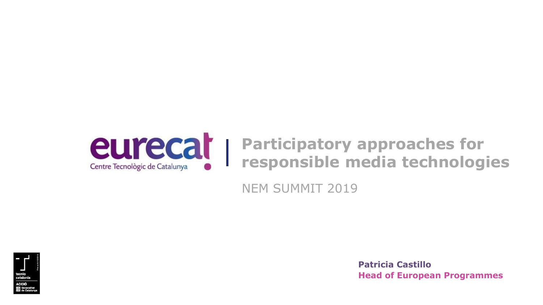

## **Participatory approaches for responsible media technologies**

NEM SUMMIT 2019



**Head of European Programmes Patricia Castillo**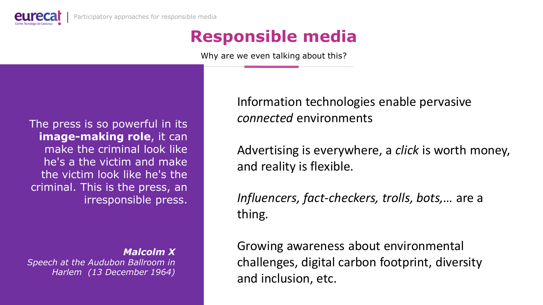

# **Responsible media**

Why are we even talking about this?

The press is so powerful in its **image-making role**, it can make the criminal look like he's a the victim and make the victim look like he's the criminal. This is the press, an irresponsible press.

*Malcolm X* 

*Speech at the Audubon Ballroom in Harlem (13 December 1964)*

Information technologies enable pervasive *connected* environments

Advertising is everywhere, a *click* is worth money, and reality is flexible.

*Influencers, fact-checkers, trolls, bots,…* are a thing.

Growing awareness about environmental challenges, digital carbon footprint, diversity and inclusion, etc.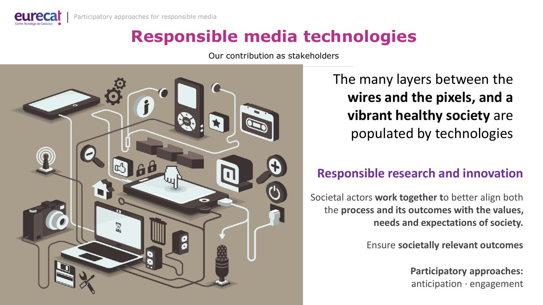

## **Responsible media technologies**

Our contribution as stakeholders



The many layers between the **wires and the pixels, and a vibrant healthy society** are populated by technologies

### **Responsible research and innovation**

Societal actors **work together t**o better align both the **process and its outcomes with the values, needs and expectations of society.**

Ensure **societally relevant outcomes** 

**Participatory approaches:** anticipation · engagement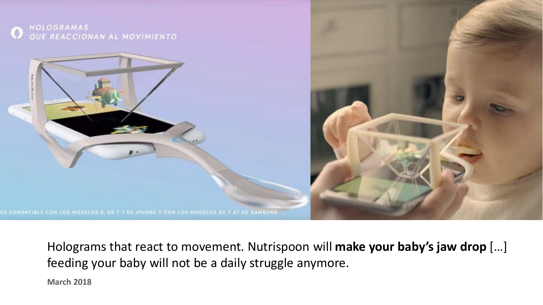

Holograms that react to movement. Nutrispoon will **make your baby's jaw drop** […] feeding your baby will not be a daily struggle anymore.

**March 2018**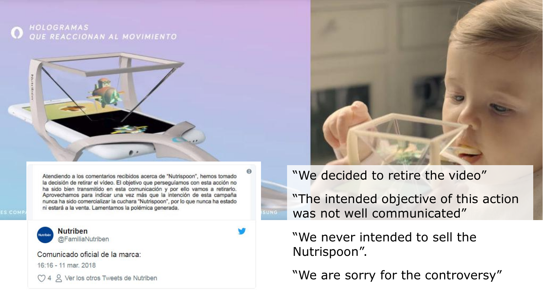



Atendiendo a los comentarios recibidos acerca de "Nutrispoon", hemos tomado la decisión de retirar el vídeo. El objetivo que perseguíamos con esta acción no ha sido bien transmitido en esta comunicación y por ello vamos a retirarlo. Aprovechamos para indicar una vez más que la intención de esta campaña nunca ha sido comercializar la cuchara "Nutrispoon", por lo que nunca ha estado ni estará a la venta. Lamentamos la polémica generada.



**Nutriben** @FamiliaNutriben

Comunicado oficial de la marca:

16:16 - 11 mar. 2018

CO 4 2 Ver los otros Tweets de Nutriben



#### "We decided to retire the video"

"The intended objective of this action was not well communicated"

### "We never intended to sell the Nutrispoon".

"We are sorry for the controversy"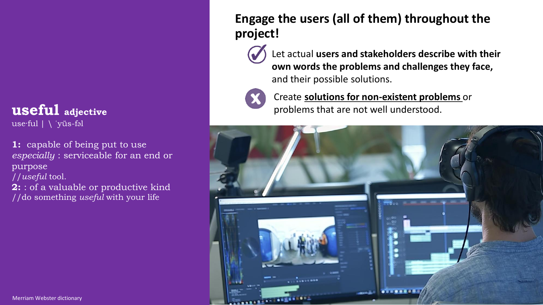## **useful adjective**

use·ful | \ ˈyüs-fəl

**1:** capable of being put to use *especially* : serviceable for an end or purpose //*useful* tool.

**2:** : of a valuable or productive kind //do something *useful* with your life

### **Engage the users (all of them) throughout the project!**

Let actual **users and stakeholders describe with their own words the problems and challenges they face,**  and their possible solutions.



Create **solutions for non-existent problems** or problems that are not well understood.

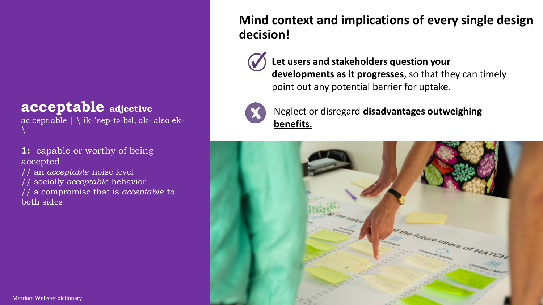## **acceptable adjective**

ac·cept·able | \ ik-ˈsep-tə-bəl, ak- also ek-  $\setminus$ 

**1:** capable or worthy of being accepted // an *acceptable* noise level

// socially *acceptable* behavior // a compromise that is *acceptable* to both sides

### **Mind context and implications of every single design decision!**

**Let users and stakeholders question your developments as it progresses**, so that they can timely point out any potential barrier for uptake.



Neglect or disregard **disadvantages outweighing benefits.**

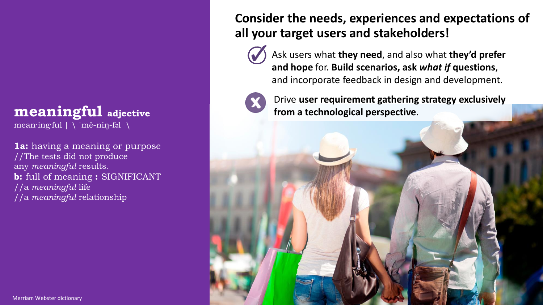### **meaningful adjective**

mean·ing·ful | \ ˈmē-niŋ-fəl \

**1a:** having a meaning or purpose //The tests did not produce any *meaningful* results. **b:** full of meaning **:** SIGNIFICANT //a *meaningful* life //a *meaningful* relationship

#### **Consider the needs, experiences and expectations of all your target users and stakeholders!**

Ask users what **they need**, and also what **they'd prefer and hope** for. **Build scenarios, ask** *what if* **questions**, and incorporate feedback in design and development.



Drive **user requirement gathering strategy exclusively from a technological perspective**.

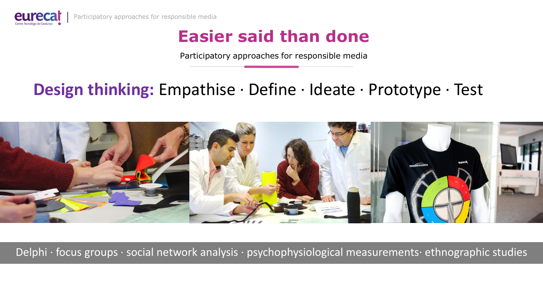

## **Easier said than done**

Participatory approaches for responsible media

## **Design thinking:** Empathise · Define · Ideate · Prototype · Test



Delphi · focus groups · social network analysis · psychophysiological measurements· ethnographic studies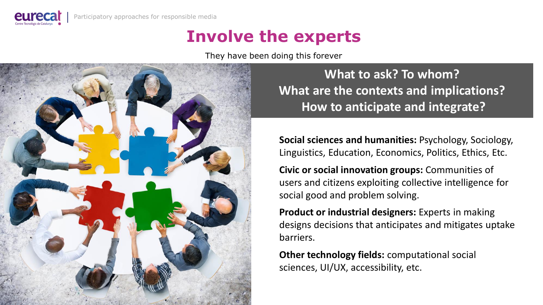

## **Involve the experts**

They have been doing this forever



**What to ask? To whom? What are the contexts and implications? How to anticipate and integrate?**

**Social sciences and humanities:** Psychology, Sociology, Linguistics, Education, Economics, Politics, Ethics, Etc.

**Civic or social innovation groups:** Communities of users and citizens exploiting collective intelligence for social good and problem solving.

**Product or industrial designers:** Experts in making designs decisions that anticipates and mitigates uptake barriers.

**Other technology fields:** computational social sciences, UI/UX, accessibility, etc.